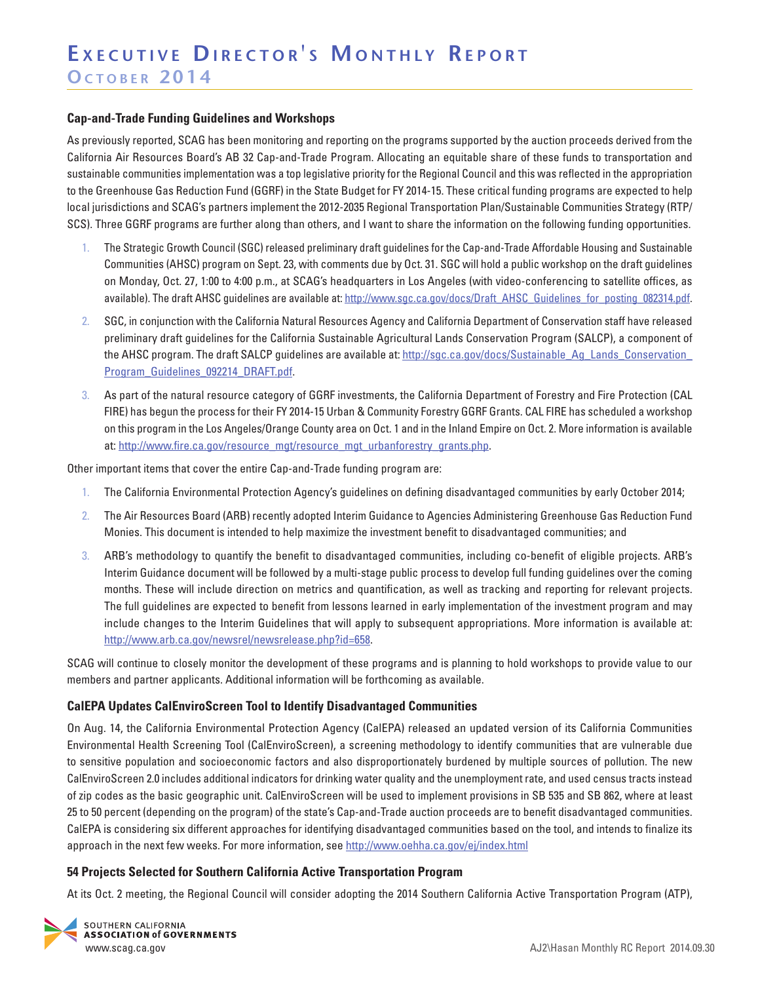## **Cap-and-Trade Funding Guidelines and Workshops**

As previously reported, SCAG has been monitoring and reporting on the programs supported by the auction proceeds derived from the California Air Resources Board's AB 32 Cap-and-Trade Program. Allocating an equitable share of these funds to transportation and sustainable communities implementation was a top legislative priority for the Regional Council and this was reflected in the appropriation to the Greenhouse Gas Reduction Fund (GGRF) in the State Budget for FY 2014-15. These critical funding programs are expected to help local jurisdictions and SCAG's partners implement the 2012-2035 Regional Transportation Plan/Sustainable Communities Strategy (RTP/ SCS). Three GGRF programs are further along than others, and I want to share the information on the following funding opportunities.

- 1. The Strategic Growth Council (SGC) released preliminary draft guidelines for the Cap-and-Trade Affordable Housing and Sustainable Communities (AHSC) program on Sept. 23, with comments due by Oct. 31. SGC will hold a public workshop on the draft guidelines on Monday, Oct. 27, 1:00 to 4:00 p.m., at SCAG's headquarters in Los Angeles (with video-conferencing to satellite offices, as available). The draft AHSC guidelines are available at: [http://www.sgc.ca.gov/docs/Draft\\_AHSC\\_Guidelines\\_for\\_posting\\_082314.pdf.](http://www.sgc.ca.gov/docs/Draft_AHSC_Guidelines_for_posting_082314.pdf)
- 2. SGC, in conjunction with the California Natural Resources Agency and California Department of Conservation staff have released preliminary draft guidelines for the California Sustainable Agricultural Lands Conservation Program (SALCP), a component of the AHSC program. The draft SALCP guidelines are available at: [http://sgc.ca.gov/docs/Sustainable\\_Ag\\_Lands\\_Conservation\\_](http://sgc.ca.gov/docs/Sustainable_Ag_Lands_Conservation_Program_Guidelines_092214_DRAFT.pdf) [Program\\_Guidelines\\_092214\\_DRAFT.pdf.](http://sgc.ca.gov/docs/Sustainable_Ag_Lands_Conservation_Program_Guidelines_092214_DRAFT.pdf)
- 3. As part of the natural resource category of GGRF investments, the California Department of Forestry and Fire Protection (CAL FIRE) has begun the process for their FY 2014-15 Urban & Community Forestry GGRF Grants. CAL FIRE has scheduled a workshop on this program in the Los Angeles/Orange County area on Oct. 1 and in the Inland Empire on Oct. 2. More information is available at: [http://www.fire.ca.gov/resource\\_mgt/resource\\_mgt\\_urbanforestry\\_grants.php.](http://www.fire.ca.gov/resource_mgt/resource_mgt_urbanforestry_grants.php)

Other important items that cover the entire Cap-and-Trade funding program are:

- 1. The California Environmental Protection Agency's guidelines on defining disadvantaged communities by early October 2014;
- 2. The Air Resources Board (ARB) recently adopted Interim Guidance to Agencies Administering Greenhouse Gas Reduction Fund Monies. This document is intended to help maximize the investment benefit to disadvantaged communities; and
- 3. ARB's methodology to quantify the benefit to disadvantaged communities, including co-benefit of eligible projects. ARB's Interim Guidance document will be followed by a multi-stage public process to develop full funding guidelines over the coming months. These will include direction on metrics and quantification, as well as tracking and reporting for relevant projects. The full guidelines are expected to benefit from lessons learned in early implementation of the investment program and may include changes to the Interim Guidelines that will apply to subsequent appropriations. More information is available at: <http://www.arb.ca.gov/newsrel/newsrelease.php?id=658>.

SCAG will continue to closely monitor the development of these programs and is planning to hold workshops to provide value to our members and partner applicants. Additional information will be forthcoming as available.

### **CalEPA Updates CalEnviroScreen Tool to Identify Disadvantaged Communities**

On Aug. 14, the California Environmental Protection Agency (CalEPA) released an updated version of its California Communities Environmental Health Screening Tool (CalEnviroScreen), a screening methodology to identify communities that are vulnerable due to sensitive population and socioeconomic factors and also disproportionately burdened by multiple sources of pollution. The new CalEnviroScreen 2.0 includes additional indicators for drinking water quality and the unemployment rate, and used census tracts instead of zip codes as the basic geographic unit. CalEnviroScreen will be used to implement provisions in SB 535 and SB 862, where at least 25 to 50 percent (depending on the program) of the state's Cap-and-Trade auction proceeds are to benefit disadvantaged communities. CalEPA is considering six different approaches for identifying disadvantaged communities based on the tool, and intends to finalize its approach in the next few weeks. For more information, see <http://www.oehha.ca.gov/ej/index.html>

### **54 Projects Selected for Southern California Active Transportation Program**

At its Oct. 2 meeting, the Regional Council will consider adopting the 2014 Southern California Active Transportation Program (ATP),